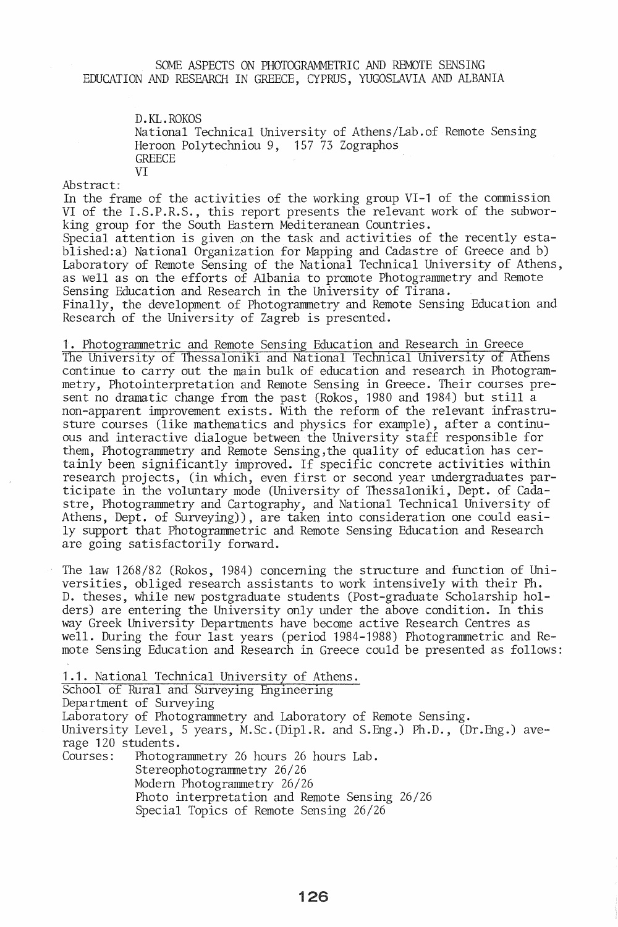## SOME ASPECTS ON PHOTOGRAMMETRIC AND REMOTE SENSING EDUCATION AND RESEARCH IN GREECE, CYPRUS, YUGOSLAVIA AND ALBANIA

D.KL.ROKOS National Technical University of Athens/Lab.of Remote Sensing Heroon Polytechniou 9, 157 73 Zographos GREECE VI

Abstract:

In the frame of the activities of the working group VI-1 of the commission VI of the I.S.P.R.S., this report presents the relevant work of the subworking group for the South Eastern Mediteranean Countries. Special attention is given on the task and activities of the recently established:a) National Organization for Mapping and Cadastre of Greece and b) Laboratory of Remote Sensing of the National Technical University of Athens, as well as on the efforts of Albania to promote Photogrammetry and Remote Sensing Education and Research in the University of Tirana. Finally, the development of Photogrammetry and Remote Sensing Education and Research of the University of Zagreb is presented.

1. Photograrnmetric and Remote Sensing Education and Research in Greece The University of Thessaloniki and National Technical University of Athens continue to carry out the main bulk of education and research in Photogrammetry, Photointerpretation and Remote Sensing in Greece. Their courses present no dramatic change from the past (Rokos, 1980 and 1984) but still a non-apparent improvement exists. With the reform of the relevant infrastrusture courses (like mathematics and physics for example), after a continuous and interactive dialogue between the University staff responsible for them, Photograrnmetry and Remote Sensing,the quality of education has certainly been significantly improved. If specific concrete activities within research projects, (in which, even first or second year undergraduates participate in the voluntary mode (University of Thessaloniki, Dept. of Cadastre, Photograrnmetry and Cartography, and National Technical University of Athens, Dept. of Surveying)), are taken into consideration one could easily support that Photograrnmetric and Remote Sensing Education and Research are going satisfactorily forward.

The law 1268/82 (Rokos, 1984) concerning the structure and function of Universities, obliged research assistants to work intensively with their Ph. D. theses, while new postgraduate students (Post-graduate Scholarship holders) are entering the University only under the above condition. In this way Greek University Departments have become active Research Centres as well. During the four last years (period 1984-1988) Photogrammetric and Remote Sensing Education and Research in Greece could be presented as follows:

1.1. National Technical University of Athens. School of Rural and Surveying Engineering Department of Surveying Laboratory of Photogrammetry and Laboratory of Remote Sensing. University Level, 5 years, M.Sc.(Dipl.R. and S.Eng.) Ph.D., (Dr.Eng.) average 120 students. Courses: Photogrammetry 26 hours 26 hours Lab. Stereophotogrammetry 26/26 Modern Photogrammetry 26/26 Photo interpretation and Remote Sensing 26/26 Special Topics of Remote Sensing 26/26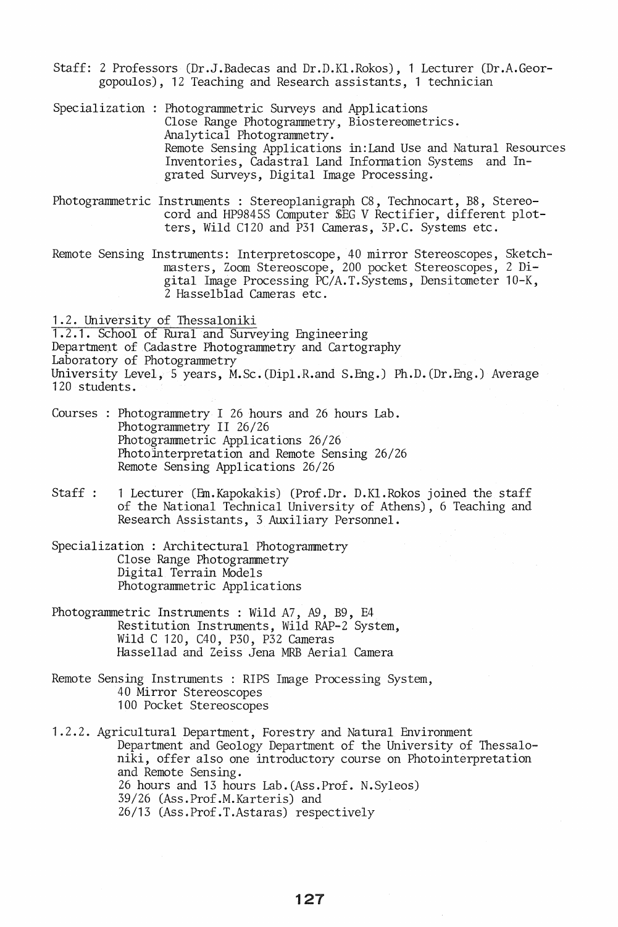- Staff: 2 Professors (Dr.J.Badecas and Dr.D.Kl.Rokos), 1 Lecturer (Dr.A.Georgopoulos), 12 Teaching and Research assistants, 1 technician
- Specialization : Photogrannnetric Surveys and Applications Close Range Photogrannnetry, Biostereometrics. Analytical Photogrammetry. Remote Sensing Applications in:Land Use and Natural Resources Inventories, Cadastral Land Information Systems and Ingrated Surveys, Digital Image Processing.
- Photogrammetric Instruments: Stereoplanigraph C8, Technocart, B8, Stereocord and HP9845S Computer \$EG V Rectifier, different plotters, Wild C120 and P31 Cameras, 3P.C. Systems etc.
- Remote Sensing Instruments: Interpretoscope, 40 mirror Stereoscopes, Sketchmasters, Zoom Stereoscope, 200 pocket Stereoscopes, 2 Digital Image Processing PC/A.T.Systems, Densitometer 10-K, 2 Hasselblad Cameras etc.

1.2. University of Thessaloniki

1.2.1. School of Rural and Surveying Engineering Department of Cadastre Photogrannnetry and Cartography Laboratory of Photogrannnetry University Level, 5 years, M.Sc. (Dipl.R.and S.Eng.) Ph.D. (Dr.Eng.) Average 120 students.

- Courses : Photogrammetry I 26 hours and 26 hours Lab. Photogrammetry II 26/26 Photogrammetric Applications 26/26 Photointerpretation and Remote Sensing 26/26 Remote Sensing Applications 26/26
- Staff : 1 Lecturer (Em.Kapokakis) (Prof.Dr. D.KI.Rokos joined the staff of the National Technical University of Athens), 6 Teaching and Research Assistants, 3 Auxiliary Personnel.
- Specialization : Architectural Photogrammetry Close Range Photogrammetry Digital Terrain Models Photogrannnetric Applications
- Photogrammetric Instruments : Wild *A7,* A9, B9, E4 Restitution Instruments, Wild RAP-2 System, Wild C 120, C40, P30, P32 Cameras Hassellad and Zeiss Jena MRB Aerial Camera
- Remote Sensing Instruments : RIPS Image Processing System, 40 Mirror Stereoscopes 100 Pocket Stereoscopes
- 1.2.2. Agricultural Department, Forestry and Natural Environment Department and Geology Department of the University of Thessaloniki, offer also one introductory course on Photointerpretation and Remote Sensing. 26 hours and 13 hours Lab. (Ass.Prof. N.Syleos) 39/26 (Ass.Prof.M.Karteris) and 26/13 (Ass.Prof.T.Astaras) respectively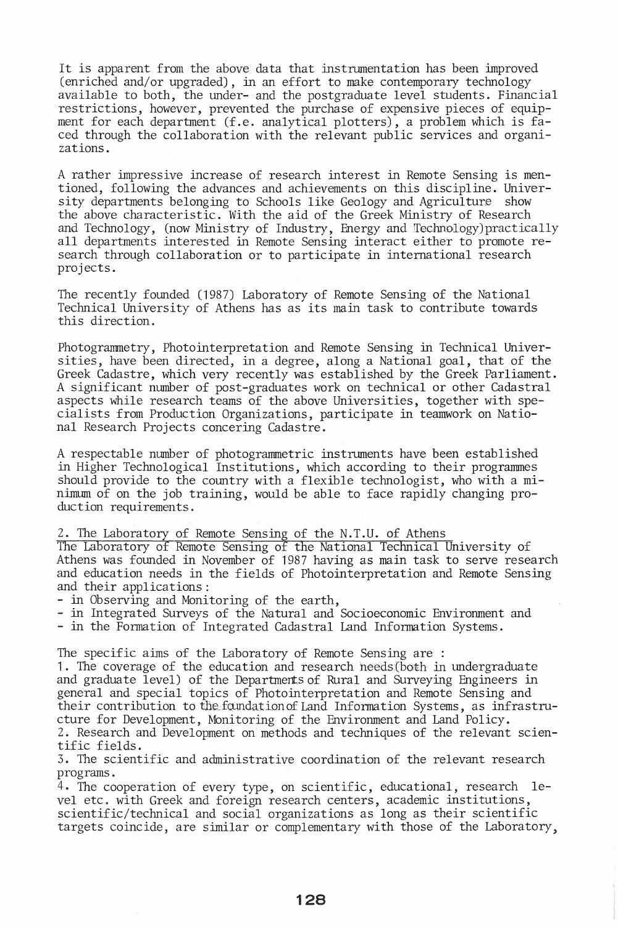It is apparent from the above data that instrumentation has been improved (enriched and/or upgraded), in an effort to make contemporary technology available to both, the under- and the postgraduate level students. Financial restrictions, however, prevented the purchase of expensive pieces of equipment for each department (f.e. analytical plotters), a problem which is faced through the collaboration with the relevant public services and organizations.

A rather impressive increase of research interest in Remote Sensing is mentioned, following the advances and achievements on this discipline. University departments belonging to Schools like Geology and Agriculture show the above characteristic. With the aid of the Greek Ministry of Research and Technology, (now Ministry of Industry, Energy and Technology)practically all departments interested in Remote Sensing interact either to promote research through collaboration or to participate in international research projects.

The recently founded (1987) Laboratory of Remote Sensing of the National Technical University of Athens has as its main task to contribute towards this direction.

Photogrammetry, Photointerpretation and Remote Sensing in Technical Universities, have been directed, in a degree, along a National goal, that of the Greek Cadastre, which very recently was established by the Greek Parliament. A significant number of post-graduates work on technical or other Cadastral aspects while research teams of the above Universities, together with specialists from Production Organizations, participate in teamwork on National Research Projects concering Cadastre.

A respectable number of photogrammetric instruments have been established in Higher Technological Institutions, which according to their programmes should provide to the country with a flexible technologist, who with a minimum of on the job training, would be able to face rapidly changing production requirements.

## 2. The Laboratory of Remote Sensing of the N.T.U. of Athens

The Laboratory of Remote Sensing of the National Technical University of Athens was founded in November of 1987 having as main task to serve research and education needs in the fields of Photointerpretation and Remote Sensing

- in Observing and Monitoring of the earth,<br>- in Integrated Surveys of the Natural and Socioeconomic Environment and<br>- in the Formation of Integrated Cadastral Land Information Systems.
- 

The specific aims of the Laboratory of Remote Sensing are :

1. The coverage of the education and research needs (both in undergraduate and graduate level) of the Departments of Rural and Surveying Engineers in general and special topics of Photointerpretation and Remote Sensing and their contribution to the foundation of Land Information Systems, as infrastructure for Development, Monitoring of the Environment and Land Policy. 2. Research and Development on methods and techniques of the relevant scientific fields.

3. The scientific and administrative coordination of the relevant research programs.

4. The cooperation of every type, on scientific, educational, research level etc. with Greek and foreign research centers, academic institutions, scientific/technical and social organizations as long as their scientific targets coincide, are similar or complementary with those of the Laboratory,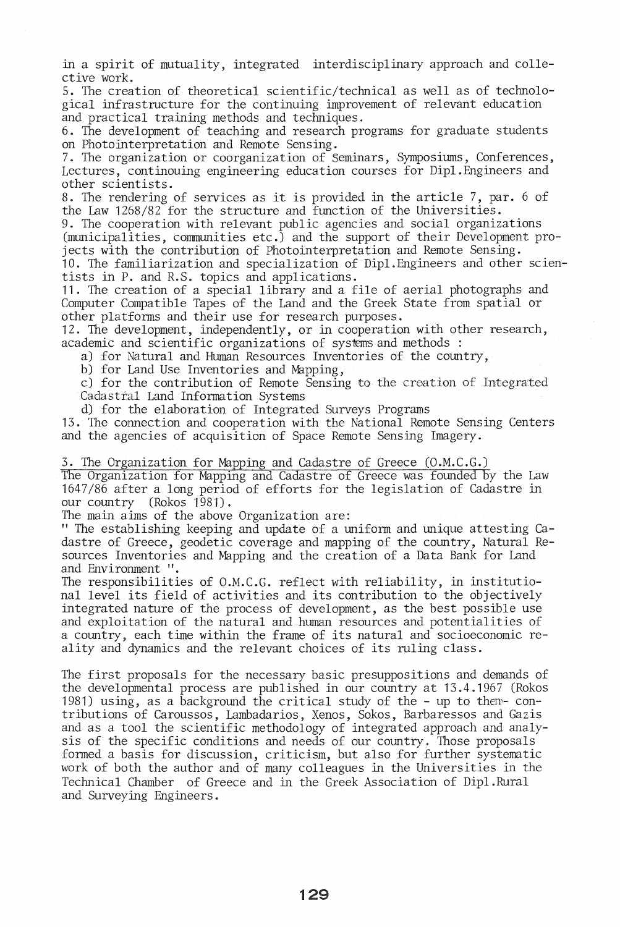in a spirit of mutuality, integrated interdisciplinary approach and collective work.

5. The creation of theoretical scientific/technical as well as of technological infrastructure for the continuing improvement of relevant education and practical training methods and techniques.

6. The development of teaching and research programs for graduate students on Photo interpretation and Remote Sensing.

7. The organization or coorganization of Seminars, Symposiums, Conferences, Lectures, continouing engineering education courses for Dipl.Engineers and other scientists.

8. The rendering of services as it is provided in the article 7, par. 6 of the Law 1268/82 for the structure and function of the Universities.

9. The cooperation with relevant public agencies and social organizations (municipalities, communities etc.) and the support of their Development projects with the contribution of Photointerpretation and Remote Sensing.

10. The familiarization and specialization of Dipl.Engineers and other scientists in P. and R.S. topics and applications.

11. The creation of a special library and a file of aerial photographs and Computer Compatible Tapes of the Land and the Greek State from spatial or other platforms and their use for research purposes.

12. The development, independently, or in cooperation with other research, academic and scientific organizations of systems and methods :

a) for Natural and Human Resources Inventories of the country,

b) for Land Use Inventories and Mapping,

c) for the contribution of Remote Sensing to the creation of Integrated Cadastral Land Information Systems

d) for the elaboration of Integrated Surveys Programs

13. The connection and cooperation with the National Remote Sensing Centers and the agencies of acquisition of Space Remote Sensing Imagery.

3. The Organization for Mapping and Cadastre of Greece (O.M.C.G.)

The Organization for Mapping and Cadastre of Greece was founded by the Law 1647/86 after a long period of efforts for the legislation of Cadastre in our country (Rokos 1981).

The main aims of the above Organization are:

" The establishing keeping and update of a uniform and unique attesting Cadastre of Greece, geodetic coverage and mapping of the country, Natural Resources Inventories and Mapping and the creation of a Data Bank for Land and Environment 'I.

The responsibilities of O.M.C.G. reflect with reliability, in institutional level its field of activities and its contribution to the objectively integrated nature of the process of development, as the best possible use and exploitation of the natural and human resources and potentialities of a country, each time within the frame of its natural and socioeconomic reality and dynamics and the relevant choices of its ruling class.

The first proposals for the necessary basic presuppositions and demands of the developmental process are published in our country at 13.4.1967 (Rokos 1981) using, as a background the critical study of the - up to them- $con$ tributions of Caroussos, Lambadarios, Xenos, Sokos, Barbaressos and Gazis and as a tool the scientific methodology of integrated approach and analysis of the specific conditions and needs of our country. Those proposals formed a basis for discussion, criticism, but also for further systematic work of both the author and of many colleagues in the Universities in the Technical Chamber of Greece and in the Greek Association of Dipl.Rural and Surveying Engineers.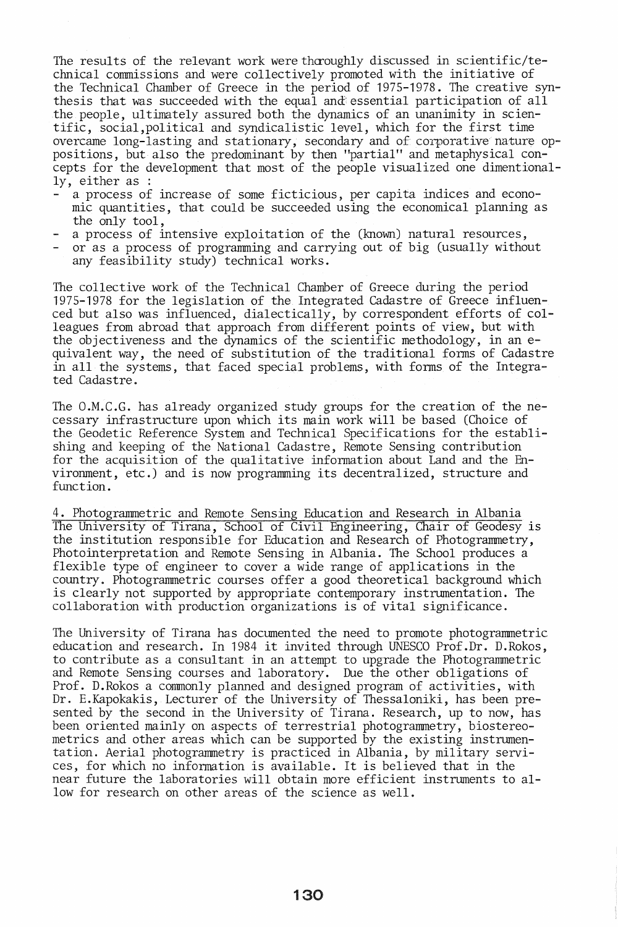The results of the relevant work were thoroughly discussed in scientific/technical commissions and were collectively promoted with the initiative of the Technical Chamber of Greece in the period of 1975-1978. The creative synthesis that was succeeded with the equal and essential participation of all the people, ultimately assured both the dynamics of an unanimity in scientific, social,political and syndicalistic level, which for the first time overcame long-lasting and stationary, secondary and of corporative nature oppositions, but also the predominant by then "partial" and metaphysical concepts for the development that most of the people visualized one dimentionally, either as :

- a process of increase of some ficticious, per capita indices and economic quantities, that could be succeeded using the economical planning as the only tool,
- a process of intensive exploitation of the (known) natural resources,
- or as a process of programming and carrying out of big (usually without any feasibility study) technical works.

The collective work of the Technical Chamber of Greece during the period 1975-1978 for the legislation of the Integrated Cadastre of Greece influenced but also was influenced, dialectically, by correspondent efforts of colleagues from abroad that approach from different points of view, but with the objectiveness and the dynamics of the scientific methodology, in an equivalent way, the need of substitution of the traditional forms of Cadastre in all the systems, that faced special problems, with forms of the Integrated Cadastre.

The O.M.C.G. has already organized study groups for the creation of the necessary infrastructure upon which its main work will be based (Choice of the Geodetic Reference System and Technical Specifications for the establishing and keeping of the National Cadastre, Remote Sensing contribution for the acquisition of the qualitative information about Land and the Environment, etc.) and is now programming its decentralized, structure and function.

4. Photogrammetric and Remote Sensing Education and Research in Albania The University of Tirana, School of Civil Engineering, Chair of Geodesy is the institution responsible for Education and Research of Photogrammetry, Photo interpretation and Remote Sensing in Albania. The School produces a flexible type of engineer to cover a wide range of applications in the country. Photogrammetric courses offer a good theoretical background which is clearly not supported by appropriate contemporary instrumentation. The collaboration with production organizations is of vital significance.

The University of Tirana has documented the need to promote photogrammetric education and research. In 1984 it invited through UNESCO Prof.Dr. D.Rokos, to contribute as a consultant in an attempt to upgrade the Photogrammetric and Remote Sensing courses and laboratory. Due the other obligations of Prof. D.Rokos a commonly planned and designed program of activities, with Dr. E.Kapokakis, Lecturer of the University of Thessaloniki, has been presented by the second in the University of Tirana. Research, up to now, has been oriented mainly on aspects of terrestrial photogrammetry, biostereometrics and other areas which can be supported by the existing instrumentation. Aerial photogrammetry is practiced in Albania, by military services, for which no information is available. It is believed that in the near future the laboratories will obtain more efficient instruments to allow for research on other areas of the science as well.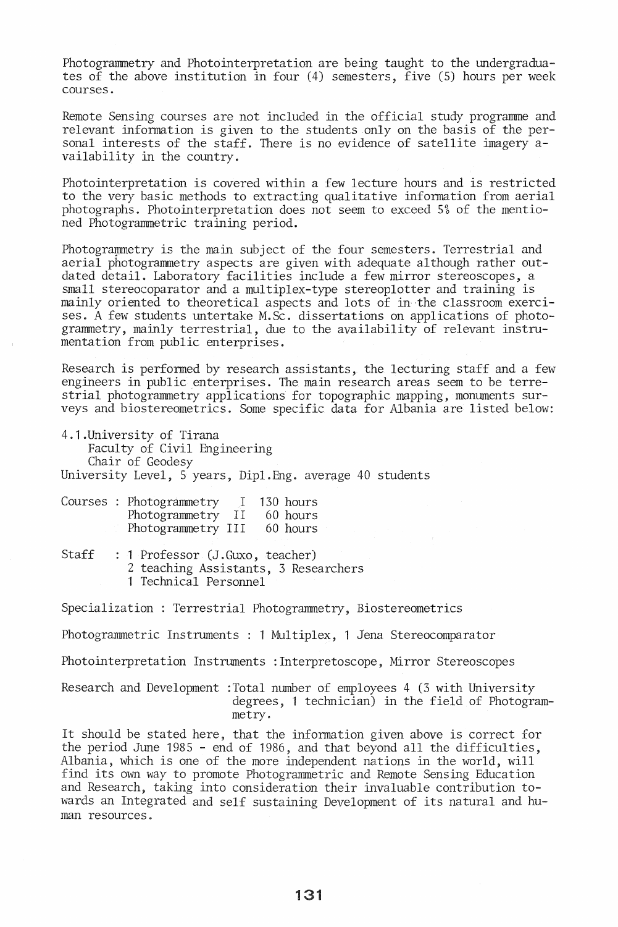Photogrammetry and Photointerpretation are being taught to the undergraduates of the above institution in four (4) semesters, five (5) hours per week courses.

Remote Sensing courses are not included in the official study programme and relevant information is given to the students only on the basis of the personal interests of the staff. There is no evidence of satellite imagery availability in the country.

Photointerpretation is covered within a few lecture hours and is restricted to the very basic methods to extracting qualitative information from aerial photographs. Photointerpretation does not seem to exceed 5% of the mentioned Photogrammetric training period.

Photograwmetry is the main subject of the four semesters. Terrestrial and aerial photogrammetry aspects are given with adequate although rather outdated detail. Laboratory facilities include a few mirror stereoscopes, a small stereocoparator and a multiplex-type stereoplotter and training is mainly oriented to theoretical aspects and lots of in the classroom exercises. A few students untertake M.Sc. dissertations on applications of photogrammetry, mainly terrestrial, due to the availability of relevant instrumentation from public enterprises.

Research is performed by research assistants, the lecturing staff and a few engineers in public enterprises. The main research areas seem to be terrestrial photogrammetry applications for topographic mapping, monuments surveys and biostereometrics. Some specific data for Albania are listed below:

| 4.1. University of Tirana                                |
|----------------------------------------------------------|
| Faculty of Civil Engineering                             |
| Chair of Geodesy                                         |
| University Level, 5 years, Dipl.Eng. average 40 students |

|  | Courses : Photogrammetry |       | 130 hours |
|--|--------------------------|-------|-----------|
|  | Photogrammetry           | - I I | 60 hours  |
|  | Photogrammetry III       |       | 60 hours  |

Staff : 1 Professor (J.Guxo, teacher) 2 teaching Assistants, 3 Researchers 1 Technical Personnel

Specialization: Terrestrial Photogrammetry, Biostereometrics

Photogrammetric Instruments : 1 Multiplex, 1 Jena Stereocomparator

Photointerpretation Instruments :Interpretoscope, Mirror Stereoscopes

Research and Development :Total number of employees 4 (3 with University degrees, 1 technician) in the field of Photogrammetry.

It should be stated here, that the information given above is correct for the period June 1985 - end of 1986, and that beyond all the difficulties, Albania, which is one of the more independent nations in the world, will find its own way to promote Photogrammetric and Remote Sensing Education and Research, taking into consideration their invaluable contribution towards an Integrated and self sustaining Development of its natural and human resources.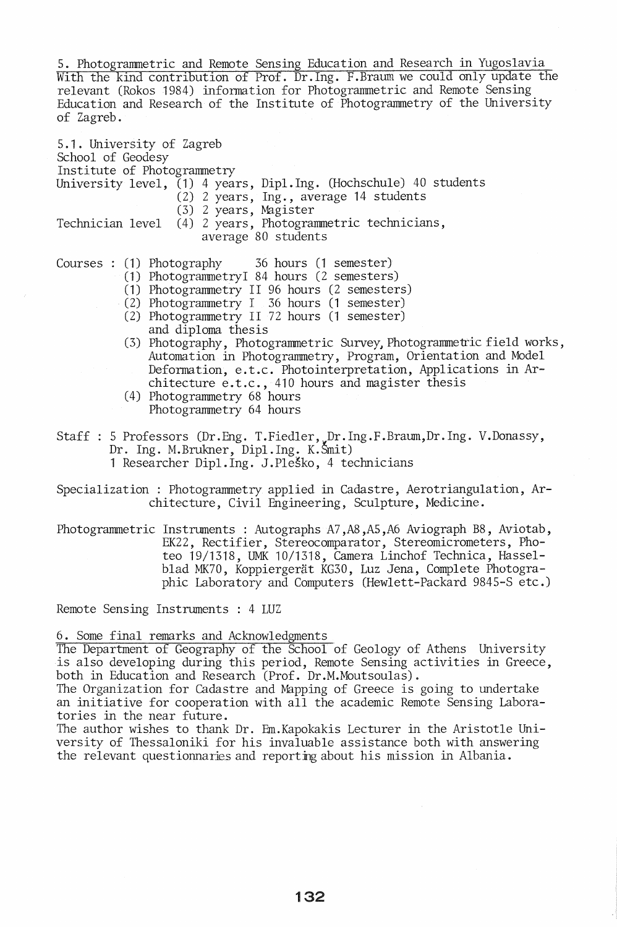5. Photogrammetric and Remote Sensing Education and Research in Yugoslavia With the kind contribution of Prof. Dr.lng. F.Braum we could only update the relevant (Rokos 1984) information for Photogrammetric and Remote Sensing Education and Research of the Institute of Photogrammetry of the University of Zagreb.

5.1. University of Zagreb School of Geodesy Institute of Photogrammetry University level, (1) 4 years, Dipl.Ing. (Hochschule) 40 students (2) 2 years, Ing., average 14 students (3) 2 years, Magister Technician level (4) 2 years, Photogrammetric technicians, average 80 students Courses : (1) Photography 36 hours (1 semester)

- (1) PhotogrammetryI 84 hours (2 semesters)
- (1) Photogrammetry II 96 hours (2 semesters)
- (2) Photogrammetry I 36 hours (1 semester)
- (2) Photogrammetry II 72 hours (1 semester) and diploma thesis
- (3) Photography, Photograrmnetric Survey, Photograrmnetric field works, Automation in Photograrmnetry, Program, Orientation and Model Deformation, e.t.c. Photo interpretation, Applications in Architecture e.t.c., 410 hours and magister thesis
- (4) Photogrammetry 68 hours Photogrammetry 64 hours
- Staff : 5 Professors (Dr.Eng. T. Fiedler, Dr.Ing.F.Braum,Dr.Ing. V.Donassy, Dr. Ing. M.Brukner, Dipl.lng. K.Smit) 1 Researcher Dipl.Ing. J.Plesto, 4 technicians

Specialization : Photogrammetry applied in Cadastre, Aerotriangulation, Architecture, Civil Engineering, Sculpture, Medicine.

Photograrmnetric Instruments: Autographs A7,A8,A5,A6 Aviograph B8, Aviotab, EK22, Rectifier, Stereocomparator, Stereomicrometers, Photeo 19/1318, UMK 10/1318, Camera Linchof Technica, Hasselblad MK70, Koppiergerät KG30, Luz Jena, Complete Photographic Laboratory and Computers (Hewlett-Packard 9845-S etc.)

Remote Sensing Instruments : 4 LUZ

6. Some final remarks and Acknowledgments

The Department of Geography of the School of Geology of Athens University is also developing during this period, Remote Sensing activities in Greece, both in Education and Research (Prof. Dr.M.Moutsoulas).

The Organization for Cadastre and Mapping of Greece is going to undertake an initiative for cooperation with all the academic Remote Sensing Laboratories in the near future.

The author wishes to thank Dr. Em.Kapokakis Lecturer in the Aristotle University of Thessaloniki for his invaluable assistance both with answering the relevant questionnaries and reporting about his mission in Albania.